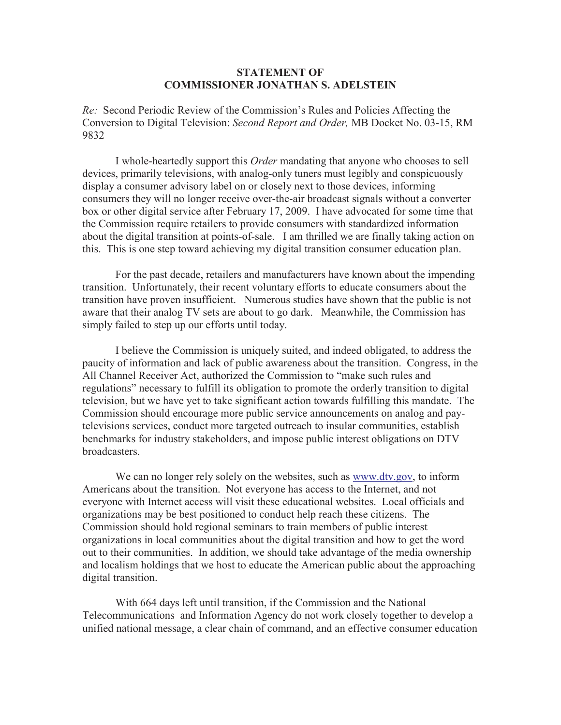## **STATEMENT OF COMMISSIONER JONATHAN S. ADELSTEIN**

*Re:* Second Periodic Review of the Commission's Rules and Policies Affecting the Conversion to Digital Television: *Second Report and Order,* MB Docket No. 03-15, RM 9832

I whole-heartedly support this *Order* mandating that anyone who chooses to sell devices, primarily televisions, with analog-only tuners must legibly and conspicuously display a consumer advisory label on or closely next to those devices, informing consumers they will no longer receive over-the-air broadcast signals without a converter box or other digital service after February 17, 2009. I have advocated for some time that the Commission require retailers to provide consumers with standardized information about the digital transition at points-of-sale. I am thrilled we are finally taking action on this. This is one step toward achieving my digital transition consumer education plan.

For the past decade, retailers and manufacturers have known about the impending transition. Unfortunately, their recent voluntary efforts to educate consumers about the transition have proven insufficient. Numerous studies have shown that the public is not aware that their analog TV sets are about to go dark. Meanwhile, the Commission has simply failed to step up our efforts until today.

I believe the Commission is uniquely suited, and indeed obligated, to address the paucity of information and lack of public awareness about the transition. Congress, in the All Channel Receiver Act, authorized the Commission to "make such rules and regulations" necessary to fulfill its obligation to promote the orderly transition to digital television, but we have yet to take significant action towards fulfilling this mandate. The Commission should encourage more public service announcements on analog and paytelevisions services, conduct more targeted outreach to insular communities, establish benchmarks for industry stakeholders, and impose public interest obligations on DTV broadcasters.

We can no longer rely solely on the websites, such as www.dtv.gov, to inform Americans about the transition. Not everyone has access to the Internet, and not everyone with Internet access will visit these educational websites. Local officials and organizations may be best positioned to conduct help reach these citizens. The Commission should hold regional seminars to train members of public interest organizations in local communities about the digital transition and how to get the word out to their communities. In addition, we should take advantage of the media ownership and localism holdings that we host to educate the American public about the approaching digital transition.

With 664 days left until transition, if the Commission and the National Telecommunications and Information Agency do not work closely together to develop a unified national message, a clear chain of command, and an effective consumer education